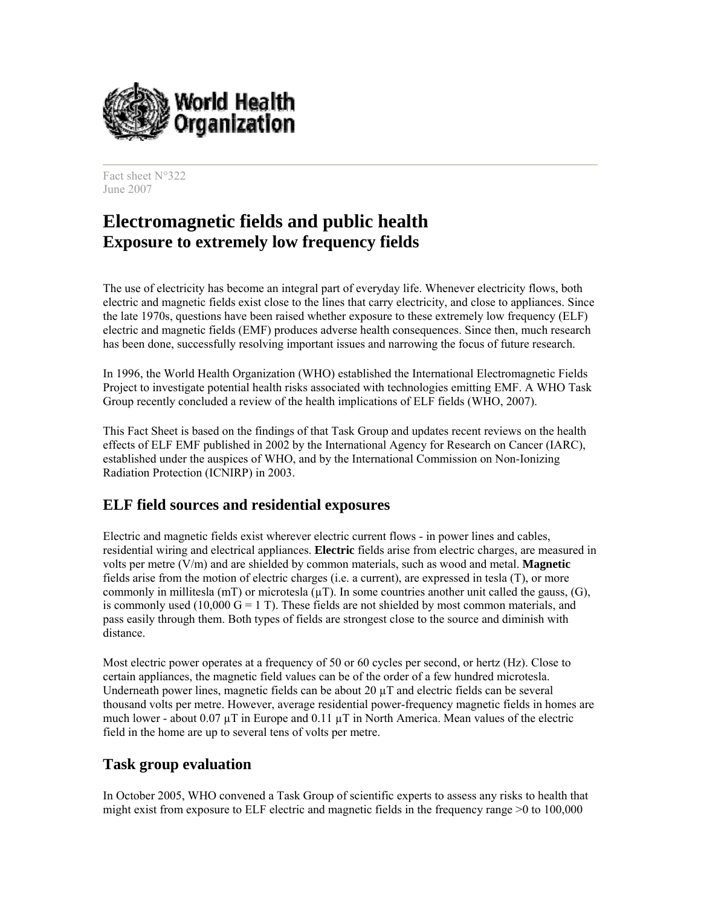

Fact sheet N°322 June 2007

# **Electromagnetic fields and public health Exposure to extremely low frequency fields**

The use of electricity has become an integral part of everyday life. Whenever electricity flows, both electric and magnetic fields exist close to the lines that carry electricity, and close to appliances. Since the late 1970s, questions have been raised whether exposure to these extremely low frequency (ELF) electric and magnetic fields (EMF) produces adverse health consequences. Since then, much research has been done, successfully resolving important issues and narrowing the focus of future research.

In 1996, the World Health Organization (WHO) established the International Electromagnetic Fields Project to investigate potential health risks associated with technologies emitting EMF. A WHO Task Group recently concluded a review of the health implications of ELF fields (WHO, 2007).

This Fact Sheet is based on the findings of that Task Group and updates recent reviews on the health effects of ELF EMF published in 2002 by the International Agency for Research on Cancer (IARC), established under the auspices of WHO, and by the International Commission on Non-Ionizing Radiation Protection (ICNIRP) in 2003.

### **ELF field sources and residential exposures**

Electric and magnetic fields exist wherever electric current flows - in power lines and cables, residential wiring and electrical appliances. **Electric** fields arise from electric charges, are measured in volts per metre (V/m) and are shielded by common materials, such as wood and metal. **Magnetic** fields arise from the motion of electric charges (i.e. a current), are expressed in tesla (T), or more commonly in millitesla ( $mT$ ) or microtesla ( $\mu T$ ). In some countries another unit called the gauss, (G), is commonly used (10,000  $G = 1$  T). These fields are not shielded by most common materials, and pass easily through them. Both types of fields are strongest close to the source and diminish with distance.

Most electric power operates at a frequency of 50 or 60 cycles per second, or hertz (Hz). Close to certain appliances, the magnetic field values can be of the order of a few hundred microtesla. Underneath power lines, magnetic fields can be about 20  $\mu$ T and electric fields can be several thousand volts per metre. However, average residential power-frequency magnetic fields in homes are much lower - about  $0.07 \mu$ T in Europe and  $0.11 \mu$ T in North America. Mean values of the electric field in the home are up to several tens of volts per metre.

#### **Task group evaluation**

In October 2005, WHO convened a Task Group of scientific experts to assess any risks to health that might exist from exposure to ELF electric and magnetic fields in the frequency range >0 to 100,000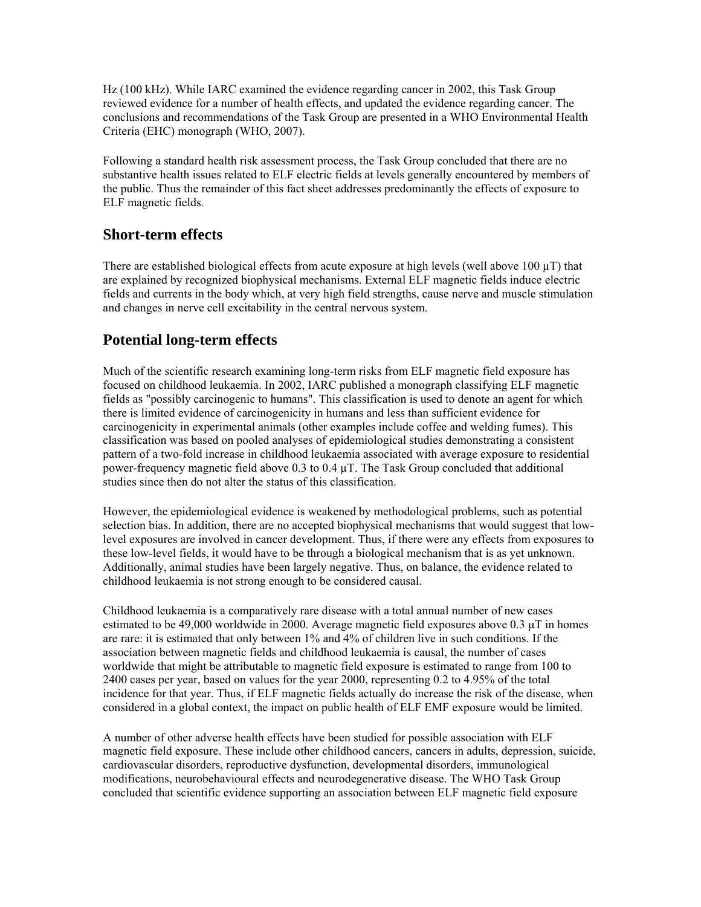Hz (100 kHz). While IARC examined the evidence regarding cancer in 2002, this Task Group reviewed evidence for a number of health effects, and updated the evidence regarding cancer. The conclusions and recommendations of the Task Group are presented in a WHO Environmental Health Criteria (EHC) monograph (WHO, 2007).

Following a standard health risk assessment process, the Task Group concluded that there are no substantive health issues related to ELF electric fields at levels generally encountered by members of the public. Thus the remainder of this fact sheet addresses predominantly the effects of exposure to ELF magnetic fields.

### **Short-term effects**

There are established biological effects from acute exposure at high levels (well above  $100 \mu T$ ) that are explained by recognized biophysical mechanisms. External ELF magnetic fields induce electric fields and currents in the body which, at very high field strengths, cause nerve and muscle stimulation and changes in nerve cell excitability in the central nervous system.

# **Potential long-term effects**

Much of the scientific research examining long-term risks from ELF magnetic field exposure has focused on childhood leukaemia. In 2002, IARC published a monograph classifying ELF magnetic fields as "possibly carcinogenic to humans". This classification is used to denote an agent for which there is limited evidence of carcinogenicity in humans and less than sufficient evidence for carcinogenicity in experimental animals (other examples include coffee and welding fumes). This classification was based on pooled analyses of epidemiological studies demonstrating a consistent pattern of a two-fold increase in childhood leukaemia associated with average exposure to residential power-frequency magnetic field above 0.3 to 0.4 µT. The Task Group concluded that additional studies since then do not alter the status of this classification.

However, the epidemiological evidence is weakened by methodological problems, such as potential selection bias. In addition, there are no accepted biophysical mechanisms that would suggest that lowlevel exposures are involved in cancer development. Thus, if there were any effects from exposures to these low-level fields, it would have to be through a biological mechanism that is as yet unknown. Additionally, animal studies have been largely negative. Thus, on balance, the evidence related to childhood leukaemia is not strong enough to be considered causal.

Childhood leukaemia is a comparatively rare disease with a total annual number of new cases estimated to be 49,000 worldwide in 2000. Average magnetic field exposures above 0.3 μT in homes are rare: it is estimated that only between 1% and 4% of children live in such conditions. If the association between magnetic fields and childhood leukaemia is causal, the number of cases worldwide that might be attributable to magnetic field exposure is estimated to range from 100 to 2400 cases per year, based on values for the year 2000, representing 0.2 to 4.95% of the total incidence for that year. Thus, if ELF magnetic fields actually do increase the risk of the disease, when considered in a global context, the impact on public health of ELF EMF exposure would be limited.

A number of other adverse health effects have been studied for possible association with ELF magnetic field exposure. These include other childhood cancers, cancers in adults, depression, suicide, cardiovascular disorders, reproductive dysfunction, developmental disorders, immunological modifications, neurobehavioural effects and neurodegenerative disease. The WHO Task Group concluded that scientific evidence supporting an association between ELF magnetic field exposure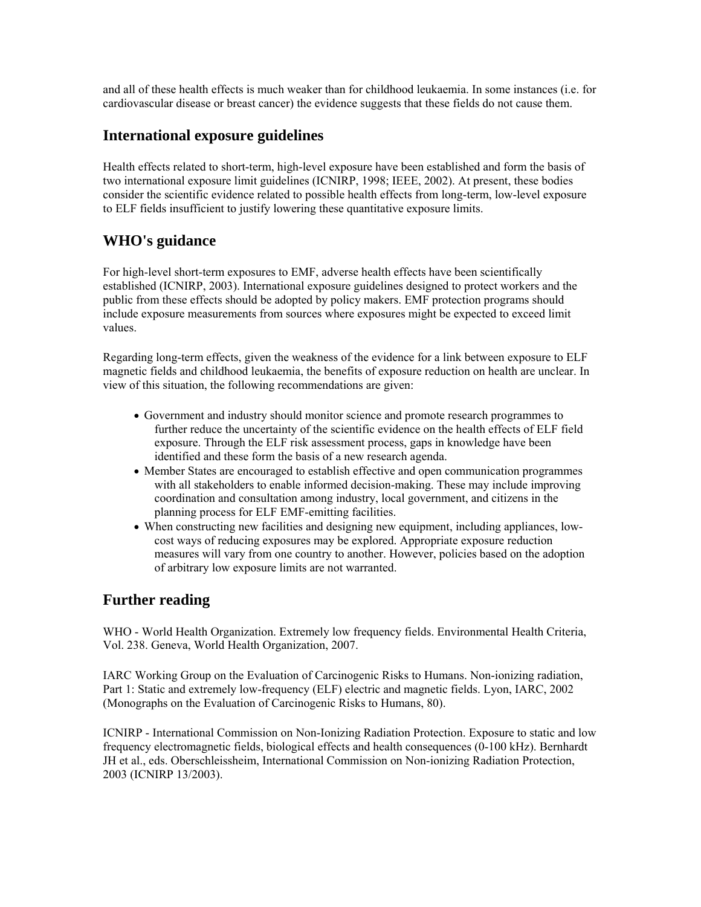and all of these health effects is much weaker than for childhood leukaemia. In some instances (i.e. for cardiovascular disease or breast cancer) the evidence suggests that these fields do not cause them.

### **International exposure guidelines**

Health effects related to short-term, high-level exposure have been established and form the basis of two international exposure limit guidelines (ICNIRP, 1998; IEEE, 2002). At present, these bodies consider the scientific evidence related to possible health effects from long-term, low-level exposure to ELF fields insufficient to justify lowering these quantitative exposure limits.

## **WHO's guidance**

For high-level short-term exposures to EMF, adverse health effects have been scientifically established (ICNIRP, 2003). International exposure guidelines designed to protect workers and the public from these effects should be adopted by policy makers. EMF protection programs should include exposure measurements from sources where exposures might be expected to exceed limit values.

Regarding long-term effects, given the weakness of the evidence for a link between exposure to ELF magnetic fields and childhood leukaemia, the benefits of exposure reduction on health are unclear. In view of this situation, the following recommendations are given:

- Government and industry should monitor science and promote research programmes to further reduce the uncertainty of the scientific evidence on the health effects of ELF field exposure. Through the ELF risk assessment process, gaps in knowledge have been identified and these form the basis of a new research agenda.
- Member States are encouraged to establish effective and open communication programmes with all stakeholders to enable informed decision-making. These may include improving coordination and consultation among industry, local government, and citizens in the planning process for ELF EMF-emitting facilities.
- When constructing new facilities and designing new equipment, including appliances, lowcost ways of reducing exposures may be explored. Appropriate exposure reduction measures will vary from one country to another. However, policies based on the adoption of arbitrary low exposure limits are not warranted.

### **Further reading**

WHO - World Health Organization. Extremely low frequency fields. Environmental Health Criteria, Vol. 238. Geneva, World Health Organization, 2007.

IARC Working Group on the Evaluation of Carcinogenic Risks to Humans. Non-ionizing radiation, Part 1: Static and extremely low-frequency (ELF) electric and magnetic fields. Lyon, IARC, 2002 (Monographs on the Evaluation of Carcinogenic Risks to Humans, 80).

ICNIRP - International Commission on Non-Ionizing Radiation Protection. Exposure to static and low frequency electromagnetic fields, biological effects and health consequences (0-100 kHz). Bernhardt JH et al., eds. Oberschleissheim, International Commission on Non-ionizing Radiation Protection, 2003 (ICNIRP 13/2003).